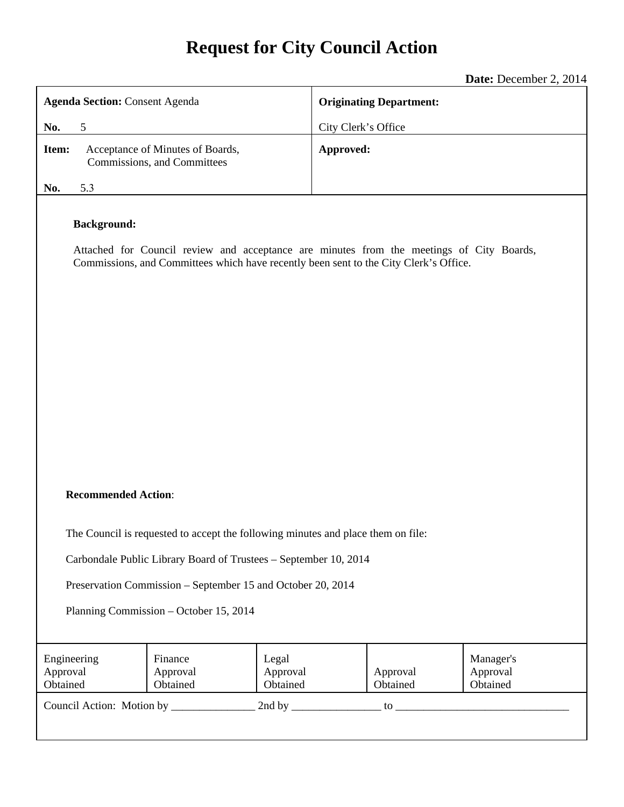# **Request for City Council Action**

**Date:** December 2, 2014

| <b>Agenda Section: Consent Agenda</b>                                                                                                                                                                   |                                                                 |                               | <b>Originating Department:</b> |                                   |
|---------------------------------------------------------------------------------------------------------------------------------------------------------------------------------------------------------|-----------------------------------------------------------------|-------------------------------|--------------------------------|-----------------------------------|
| 5<br>No.                                                                                                                                                                                                |                                                                 |                               | City Clerk's Office            |                                   |
| Item:                                                                                                                                                                                                   | Acceptance of Minutes of Boards,<br>Commissions, and Committees |                               | Approved:                      |                                   |
| 5.3<br>No.                                                                                                                                                                                              |                                                                 |                               |                                |                                   |
| <b>Background:</b><br>Attached for Council review and acceptance are minutes from the meetings of City Boards,<br>Commissions, and Committees which have recently been sent to the City Clerk's Office. |                                                                 |                               |                                |                                   |
|                                                                                                                                                                                                         |                                                                 |                               |                                |                                   |
| <b>Recommended Action:</b>                                                                                                                                                                              |                                                                 |                               |                                |                                   |
| The Council is requested to accept the following minutes and place them on file:                                                                                                                        |                                                                 |                               |                                |                                   |
| Carbondale Public Library Board of Trustees - September 10, 2014                                                                                                                                        |                                                                 |                               |                                |                                   |
| Preservation Commission – September 15 and October 20, 2014<br>Planning Commission – October 15, 2014                                                                                                   |                                                                 |                               |                                |                                   |
| Engineering<br>Approval<br>Obtained                                                                                                                                                                     | Finance<br>Approval<br>Obtained                                 | Legal<br>Approval<br>Obtained | Approval<br>Obtained           | Manager's<br>Approval<br>Obtained |
|                                                                                                                                                                                                         |                                                                 |                               |                                |                                   |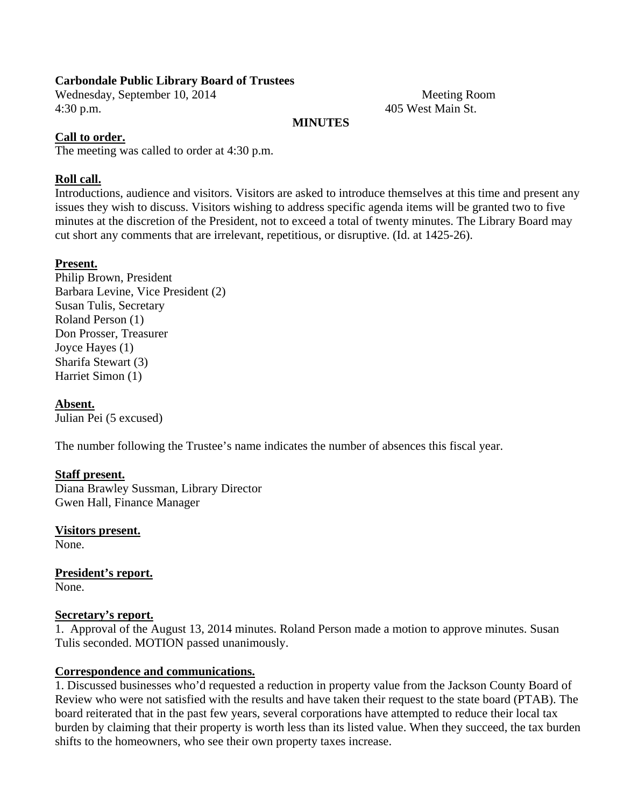#### **Carbondale Public Library Board of Trustees**

Wednesday, September 10, 2014 Meeting Room 4:30 p.m. 405 West Main St.

#### **MINUTES**

### **Call to order.**

The meeting was called to order at 4:30 p.m.

#### **Roll call.**

Introductions, audience and visitors. Visitors are asked to introduce themselves at this time and present any issues they wish to discuss. Visitors wishing to address specific agenda items will be granted two to five minutes at the discretion of the President, not to exceed a total of twenty minutes. The Library Board may cut short any comments that are irrelevant, repetitious, or disruptive. (Id. at 1425-26).

#### **Present.**

Philip Brown, President Barbara Levine, Vice President (2) Susan Tulis, Secretary Roland Person (1) Don Prosser, Treasurer Joyce Hayes (1) Sharifa Stewart (3) Harriet Simon (1)

**Absent.**  Julian Pei (5 excused)

The number following the Trustee's name indicates the number of absences this fiscal year.

#### **Staff present.**

Diana Brawley Sussman, Library Director Gwen Hall, Finance Manager

**Visitors present.**  None.

**President's report.**  None.

#### **Secretary's report.**

1. Approval of the August 13, 2014 minutes. Roland Person made a motion to approve minutes. Susan Tulis seconded. MOTION passed unanimously.

#### **Correspondence and communications.**

1. Discussed businesses who'd requested a reduction in property value from the Jackson County Board of Review who were not satisfied with the results and have taken their request to the state board (PTAB). The board reiterated that in the past few years, several corporations have attempted to reduce their local tax burden by claiming that their property is worth less than its listed value. When they succeed, the tax burden shifts to the homeowners, who see their own property taxes increase.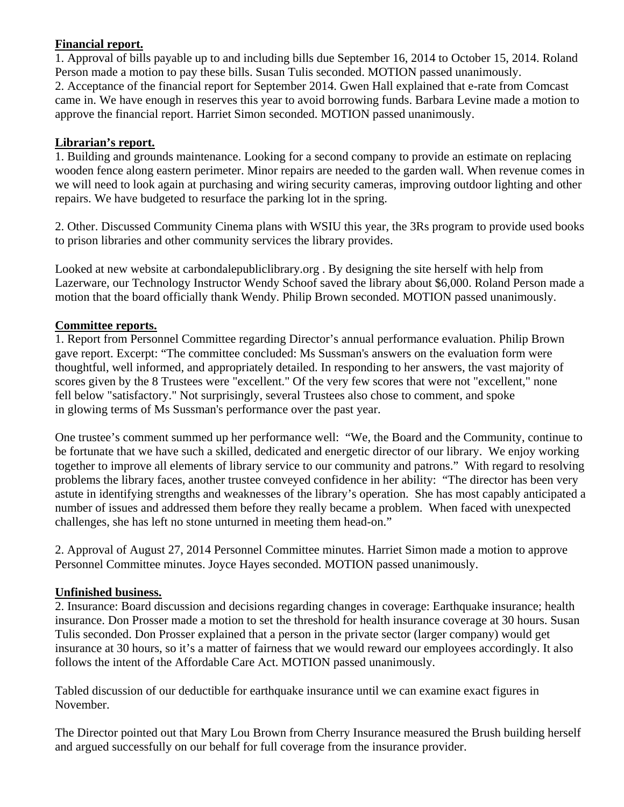## **Financial report.**

1. Approval of bills payable up to and including bills due September 16, 2014 to October 15, 2014. Roland Person made a motion to pay these bills. Susan Tulis seconded. MOTION passed unanimously. 2. Acceptance of the financial report for September 2014. Gwen Hall explained that e-rate from Comcast came in. We have enough in reserves this year to avoid borrowing funds. Barbara Levine made a motion to approve the financial report. Harriet Simon seconded. MOTION passed unanimously.

# **Librarian's report.**

1. Building and grounds maintenance. Looking for a second company to provide an estimate on replacing wooden fence along eastern perimeter. Minor repairs are needed to the garden wall. When revenue comes in we will need to look again at purchasing and wiring security cameras, improving outdoor lighting and other repairs. We have budgeted to resurface the parking lot in the spring.

2. Other. Discussed Community Cinema plans with WSIU this year, the 3Rs program to provide used books to prison libraries and other community services the library provides.

Looked at new website at carbondalepubliclibrary.org . By designing the site herself with help from Lazerware, our Technology Instructor Wendy Schoof saved the library about \$6,000. Roland Person made a motion that the board officially thank Wendy. Philip Brown seconded. MOTION passed unanimously.

# **Committee reports.**

1. Report from Personnel Committee regarding Director's annual performance evaluation. Philip Brown gave report. Excerpt: "The committee concluded: Ms Sussman's answers on the evaluation form were thoughtful, well informed, and appropriately detailed. In responding to her answers, the vast majority of scores given by the 8 Trustees were "excellent." Of the very few scores that were not "excellent," none fell below "satisfactory." Not surprisingly, several Trustees also chose to comment, and spoke in glowing terms of Ms Sussman's performance over the past year.

One trustee's comment summed up her performance well: "We, the Board and the Community, continue to be fortunate that we have such a skilled, dedicated and energetic director of our library. We enjoy working together to improve all elements of library service to our community and patrons." With regard to resolving problems the library faces, another trustee conveyed confidence in her ability: "The director has been very astute in identifying strengths and weaknesses of the library's operation. She has most capably anticipated a number of issues and addressed them before they really became a problem. When faced with unexpected challenges, she has left no stone unturned in meeting them head-on."

2. Approval of August 27, 2014 Personnel Committee minutes. Harriet Simon made a motion to approve Personnel Committee minutes. Joyce Hayes seconded. MOTION passed unanimously.

# **Unfinished business.**

2. Insurance: Board discussion and decisions regarding changes in coverage: Earthquake insurance; health insurance. Don Prosser made a motion to set the threshold for health insurance coverage at 30 hours. Susan Tulis seconded. Don Prosser explained that a person in the private sector (larger company) would get insurance at 30 hours, so it's a matter of fairness that we would reward our employees accordingly. It also follows the intent of the Affordable Care Act. MOTION passed unanimously.

Tabled discussion of our deductible for earthquake insurance until we can examine exact figures in November.

The Director pointed out that Mary Lou Brown from Cherry Insurance measured the Brush building herself and argued successfully on our behalf for full coverage from the insurance provider.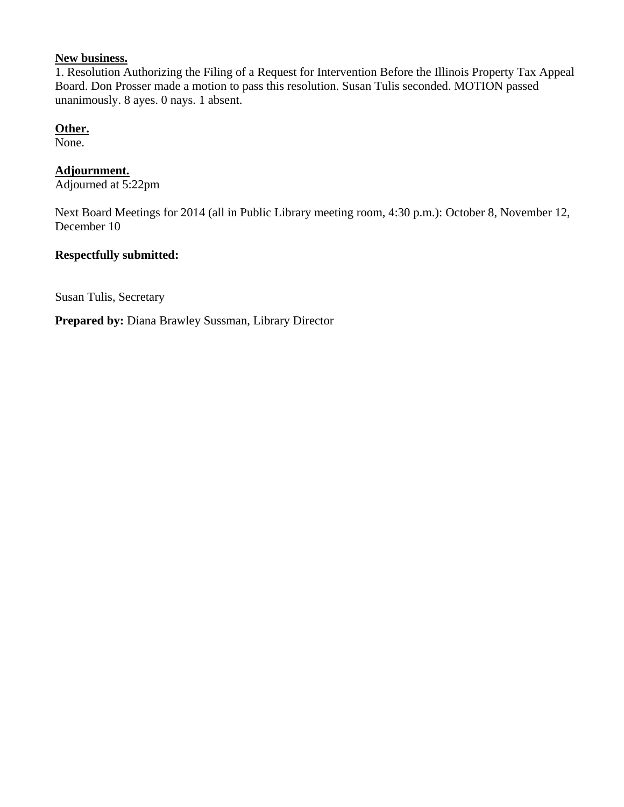# **New business.**

1. Resolution Authorizing the Filing of a Request for Intervention Before the Illinois Property Tax Appeal Board. Don Prosser made a motion to pass this resolution. Susan Tulis seconded. MOTION passed unanimously. 8 ayes. 0 nays. 1 absent.

#### **Other.**

None.

# **Adjournment.**

Adjourned at 5:22pm

Next Board Meetings for 2014 (all in Public Library meeting room, 4:30 p.m.): October 8, November 12, December 10

#### **Respectfully submitted:**

Susan Tulis, Secretary

**Prepared by:** Diana Brawley Sussman, Library Director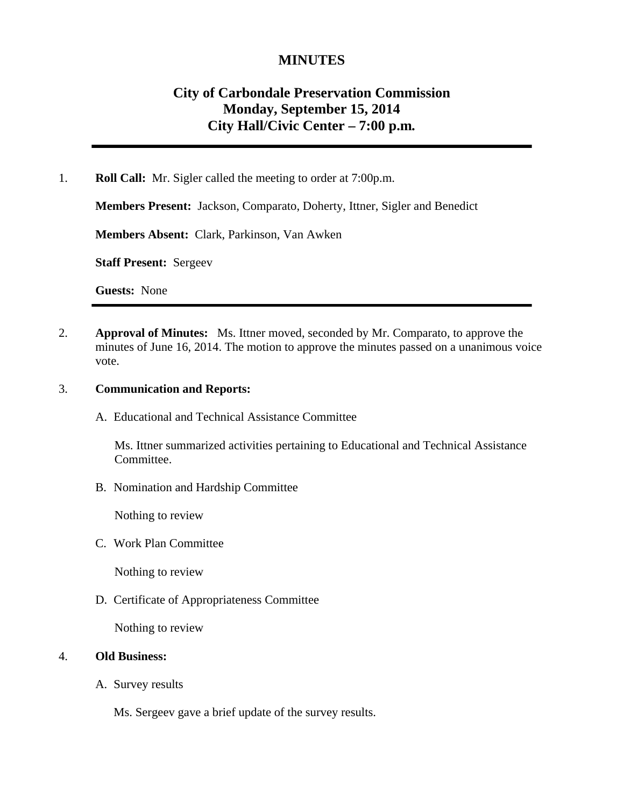# **MINUTES**

# **City of Carbondale Preservation Commission Monday, September 15, 2014 City Hall/Civic Center – 7:00 p.m***.*

1. **Roll Call:** Mr. Sigler called the meeting to order at 7:00p.m.

**Members Present:** Jackson, Comparato, Doherty, Ittner, Sigler and Benedict

**Members Absent:** Clark, Parkinson, Van Awken

**Staff Present:** Sergeev

**Guests:** None

2. **Approval of Minutes:** Ms. Ittner moved, seconded by Mr. Comparato, to approve the minutes of June 16, 2014. The motion to approve the minutes passed on a unanimous voice vote.

#### 3. **Communication and Reports:**

A. Educational and Technical Assistance Committee

Ms. Ittner summarized activities pertaining to Educational and Technical Assistance Committee.

B. Nomination and Hardship Committee

Nothing to review

C. Work Plan Committee

Nothing to review

D. Certificate of Appropriateness Committee

Nothing to review

#### 4. **Old Business:**

A. Survey results

Ms. Sergeev gave a brief update of the survey results.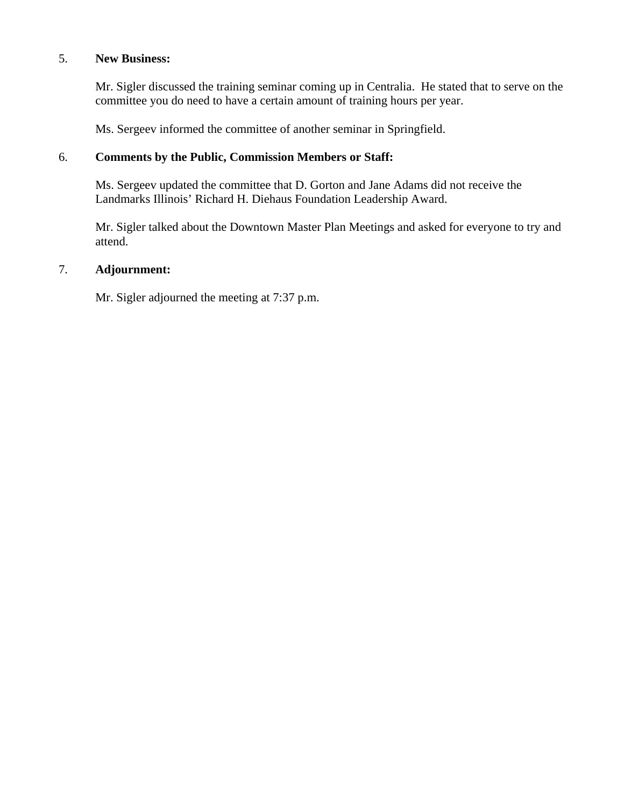#### 5. **New Business:**

Mr. Sigler discussed the training seminar coming up in Centralia. He stated that to serve on the committee you do need to have a certain amount of training hours per year.

Ms. Sergeev informed the committee of another seminar in Springfield.

### 6. **Comments by the Public, Commission Members or Staff:**

Ms. Sergeev updated the committee that D. Gorton and Jane Adams did not receive the Landmarks Illinois' Richard H. Diehaus Foundation Leadership Award.

Mr. Sigler talked about the Downtown Master Plan Meetings and asked for everyone to try and attend.

## 7. **Adjournment:**

Mr. Sigler adjourned the meeting at 7:37 p.m.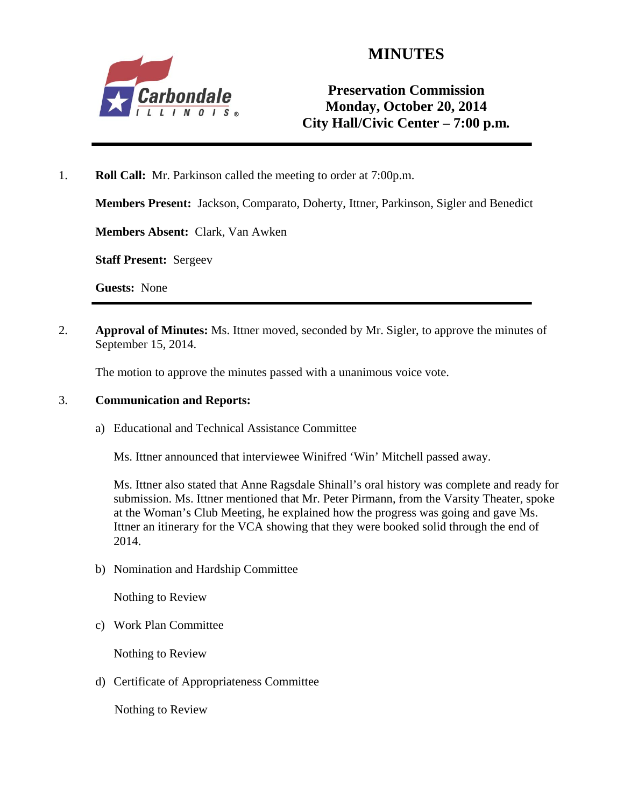

# **MINUTES**

# **Preservation Commission Monday, October 20, 2014 City Hall/Civic Center – 7:00 p.m***.*

1. **Roll Call:** Mr. Parkinson called the meeting to order at 7:00p.m.

**Members Present:** Jackson, Comparato, Doherty, Ittner, Parkinson, Sigler and Benedict

**Members Absent:** Clark, Van Awken

**Staff Present:** Sergeev

**Guests:** None

2. **Approval of Minutes:** Ms. Ittner moved, seconded by Mr. Sigler, to approve the minutes of September 15, 2014.

The motion to approve the minutes passed with a unanimous voice vote.

#### 3. **Communication and Reports:**

a) Educational and Technical Assistance Committee

Ms. Ittner announced that interviewee Winifred 'Win' Mitchell passed away.

Ms. Ittner also stated that Anne Ragsdale Shinall's oral history was complete and ready for submission. Ms. Ittner mentioned that Mr. Peter Pirmann, from the Varsity Theater, spoke at the Woman's Club Meeting, he explained how the progress was going and gave Ms. Ittner an itinerary for the VCA showing that they were booked solid through the end of 2014.

b) Nomination and Hardship Committee

Nothing to Review

c) Work Plan Committee

Nothing to Review

d) Certificate of Appropriateness Committee

Nothing to Review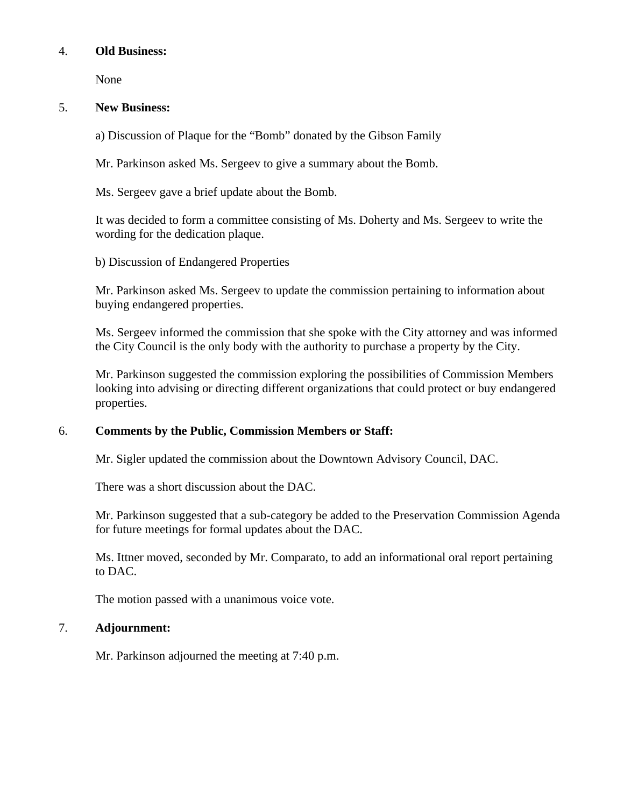#### 4. **Old Business:**

None

#### 5. **New Business:**

a) Discussion of Plaque for the "Bomb" donated by the Gibson Family

Mr. Parkinson asked Ms. Sergeev to give a summary about the Bomb.

Ms. Sergeev gave a brief update about the Bomb.

It was decided to form a committee consisting of Ms. Doherty and Ms. Sergeev to write the wording for the dedication plaque.

b) Discussion of Endangered Properties

Mr. Parkinson asked Ms. Sergeev to update the commission pertaining to information about buying endangered properties.

Ms. Sergeev informed the commission that she spoke with the City attorney and was informed the City Council is the only body with the authority to purchase a property by the City.

Mr. Parkinson suggested the commission exploring the possibilities of Commission Members looking into advising or directing different organizations that could protect or buy endangered properties.

## 6. **Comments by the Public, Commission Members or Staff:**

Mr. Sigler updated the commission about the Downtown Advisory Council, DAC.

There was a short discussion about the DAC.

Mr. Parkinson suggested that a sub-category be added to the Preservation Commission Agenda for future meetings for formal updates about the DAC.

Ms. Ittner moved, seconded by Mr. Comparato, to add an informational oral report pertaining to DAC.

The motion passed with a unanimous voice vote.

## 7. **Adjournment:**

Mr. Parkinson adjourned the meeting at 7:40 p.m.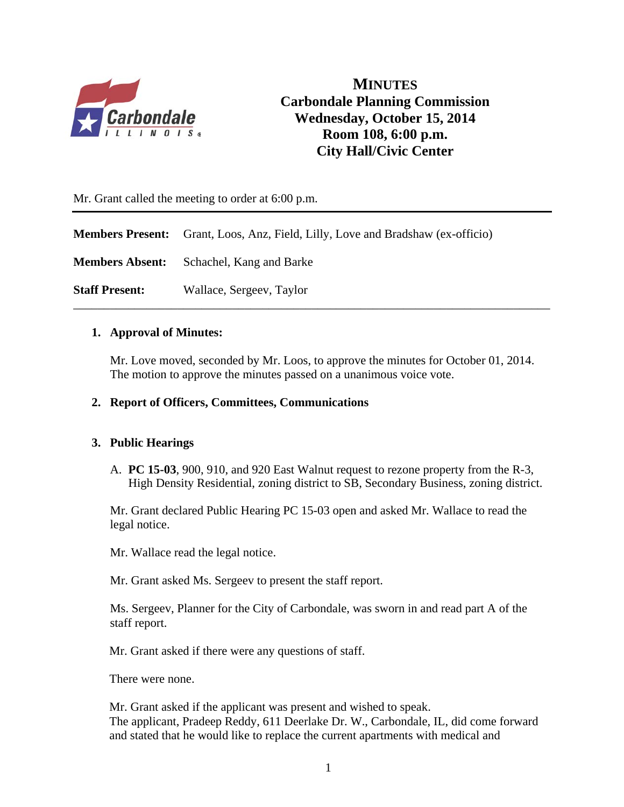

**MINUTES Carbondale Planning Commission Wednesday, October 15, 2014 Room 108, 6:00 p.m. City Hall/Civic Center** 

Mr. Grant called the meeting to order at 6:00 p.m.

**Members Present:** Grant, Loos, Anz, Field, Lilly, Love and Bradshaw (ex-officio)

**Members Absent:** Schachel, Kang and Barke

**Staff Present:** Wallace, Sergeev, Taylor

#### **1. Approval of Minutes:**

Mr. Love moved, seconded by Mr. Loos, to approve the minutes for October 01, 2014. The motion to approve the minutes passed on a unanimous voice vote.

\_\_\_\_\_\_\_\_\_\_\_\_\_\_\_\_\_\_\_\_\_\_\_\_\_\_\_\_\_\_\_\_\_\_\_\_\_\_\_\_\_\_\_\_\_\_\_\_\_\_\_\_\_\_\_\_\_\_\_\_\_\_\_\_\_\_\_\_\_\_\_\_\_\_\_\_\_\_

#### **2. Report of Officers, Committees, Communications**

#### **3. Public Hearings**

A. **PC 15-03**, 900, 910, and 920 East Walnut request to rezone property from the R-3, High Density Residential, zoning district to SB, Secondary Business, zoning district.

Mr. Grant declared Public Hearing PC 15-03 open and asked Mr. Wallace to read the legal notice.

Mr. Wallace read the legal notice.

Mr. Grant asked Ms. Sergeev to present the staff report.

 Ms. Sergeev, Planner for the City of Carbondale, was sworn in and read part A of the staff report.

Mr. Grant asked if there were any questions of staff.

There were none.

Mr. Grant asked if the applicant was present and wished to speak. The applicant, Pradeep Reddy, 611 Deerlake Dr. W., Carbondale, IL, did come forward and stated that he would like to replace the current apartments with medical and